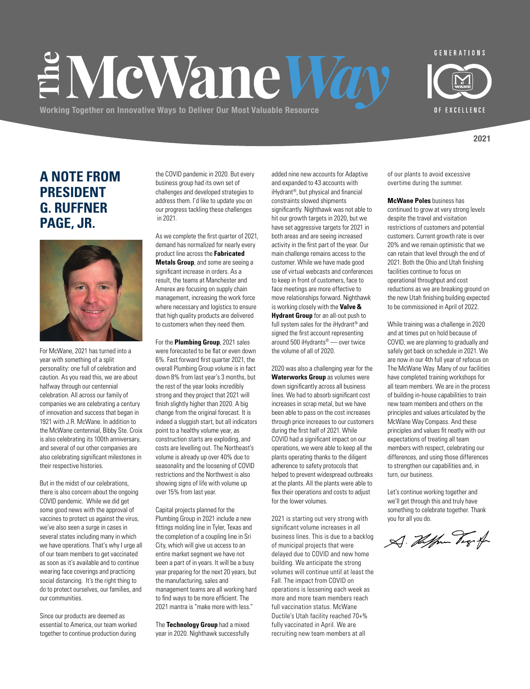# EMcWane War

**Working Together on Innovative Ways to Deliver Our Most Valuable Resource**

OF EXCELLENCE

**2021**

### **A NOTE FROM PRESIDENT G. RUFFNER PAGE, JR.**



For McWane, 2021 has turned into a year with something of a split personality: one full of celebration and caution. As you read this, we are about halfway through our centennial celebration. All across our family of companies we are celebrating a century of innovation and success that began in 1921 with J.R. McWane. In addition to the McWane centennial, Bibby Ste. Croix is also celebrating its 100th anniversary, and several of our other companies are also celebrating significant milestones in their respective histories.

But in the midst of our celebrations, there is also concern about the ongoing COVID pandemic. While we did get some good news with the approval of vaccines to protect us against the virus, we've also seen a surge in cases in several states including many in which we have operations. That's why I urge all of our team members to get vaccinated as soon as it's available and to continue wearing face coverings and practicing social distancing. It's the right thing to do to protect ourselves, our families, and our communities.

Since our products are deemed as essential to America, our team worked together to continue production during

the COVID pandemic in 2020. But every business group had its own set of challenges and developed strategies to address them. I'd like to update you on our progress tackling these challenges in 2021.

As we complete the first quarter of 2021, demand has normalized for nearly every product line across the **Fabricated Metals Group**, and some are seeing a significant increase in orders. As a result, the teams at Manchester and Amerex are focusing on supply chain management, increasing the work force where necessary and logistics to ensure that high quality products are delivered to customers when they need them.

For the **Plumbing Group**, 2021 sales were forecasted to be flat or even down 6%. Fast forward first quarter 2021, the overall Plumbing Group volume is in fact down 8% from last year's 3 months, but the rest of the year looks incredibly strong and they project that 2021 will finish slightly higher than 2020. A big change from the original forecast. It is indeed a sluggish start, but all indicators point to a healthy volume year, as construction starts are exploding, and costs are levelling out. The Northeast's volume is already up over 40% due to seasonality and the loosening of COVID restrictions and the Northwest is also showing signs of life with volume up over 15% from last year.

Capital projects planned for the Plumbing Group in 2021 include a new fittings molding line in Tyler, Texas and the completion of a coupling line in Sri City, which will give us access to an entire market segment we have not been a part of in years. It will be a busy year preparing for the next 20 years, but the manufacturing, sales and management teams are all working hard to find ways to be more efficient. The 2021 mantra is "make more with less."

The **Technology Group** had a mixed year in 2020. Nighthawk successfully

added nine new accounts for Adaptive and expanded to 43 accounts with iHydrant®, but physical and financial constraints slowed shipments significantly. Nighthawk was not able to hit our growth targets in 2020, but we have set aggressive targets for 2021 in both areas and are seeing increased activity in the first part of the year. Our main challenge remains access to the customer. While we have made good use of virtual webcasts and conferences to keep in front of customers, face to face meetings are more effective to move relationships forward. Nighthawk is working closely with the **Valve & Hydrant Group** for an all-out push to full system sales for the iHydrant® and signed the first account representing around 500 iHydrants® — over twice the volume of all of 2020.

2020 was also a challenging year for the **Waterworks Group** as volumes were down significantly across all business lines. We had to absorb significant cost increases in scrap metal, but we have been able to pass on the cost increases through price increases to our customers during the first half of 2021. While COVID had a significant impact on our operations, we were able to keep all the plants operating thanks to the diligent adherence to safety protocols that helped to prevent widespread outbreaks at the plants. All the plants were able to flex their operations and costs to adjust for the lower volumes.

2021 is starting out very strong with significant volume increases in all business lines. This is due to a backlog of municipal projects that were delayed due to COVID and new home building. We anticipate the strong volumes will continue until at least the Fall. The impact from COVID on operations is lessening each week as more and more team members reach full vaccination status. McWane Ductile's Utah facility reached 70+% fully vaccinated in April. We are recruiting new team members at all

of our plants to avoid excessive overtime during the summer.

**McWane Poles** business has continued to grow at very strong levels despite the travel and visitation restrictions of customers and potential customers. Current growth rate is over 20% and we remain optimistic that we can retain that level through the end of 2021. Both the Ohio and Utah finishing facilities continue to focus on operational throughput and cost reductions as we are breaking ground on the new Utah finishing building expected to be commissioned in April of 2022.

While training was a challenge in 2020 and at times put on hold because of COVID, we are planning to gradually and safely get back on schedule in 2021. We are now in our 4th full year of refocus on The McWane Way. Many of our facilities have completed training workshops for all team members. We are in the process of building in-house capabilities to train new team members and others on the principles and values articulated by the McWane Way Compass. And these principles and values fit neatly with our expectations of treating all team members with respect, celebrating our differences, and using those differences to strengthen our capabilities and, in turn, our business.

Let's continue working together and we'll get through this and truly have something to celebrate together. Thank you for all you do.

A. Helper Vig f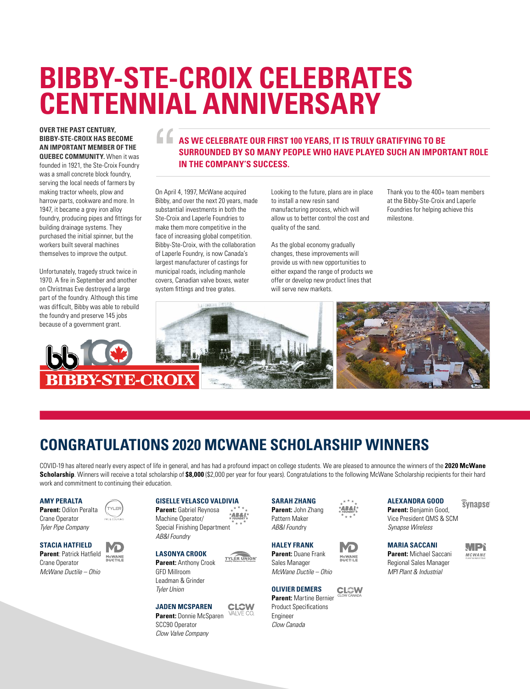# **BIBBY-STE-CROIX CELEBRATES CENTENNIAL ANNIVERSARY**

### **OVER THE PAST CENTURY, BIBBY-STE-CROIX HAS BECOME AN IMPORTANT MEMBER OF THE**

**QUEBEC COMMUNITY.** When it was founded in 1921, the Ste-Croix Foundry was a small concrete block foundry, serving the local needs of farmers by making tractor wheels, plow and harrow parts, cookware and more. In 1947, it became a grey iron alloy foundry, producing pipes and fittings for building drainage systems. They purchased the initial spinner, but the workers built several machines themselves to improve the output.

Unfortunately, tragedy struck twice in 1970. A fire in September and another on Christmas Eve destroyed a large part of the foundry. Although this time was difficult, Bibby was able to rebuild the foundry and preserve 145 jobs because of a government grant.

### **AS WE CELEBRATE OUR FIRST 100 YEARS, IT IS TRULY GRATIFYING TO BE SURROUNDED BY SO MANY PEOPLE WHO HAVE PLAYED SUCH AN IMPORTANT ROLE IN THE COMPANY'S SUCCESS.**

On April 4, 1997, McWane acquired Bibby, and over the next 20 years, made substantial investments in both the Ste-Croix and Laperle Foundries to make them more competitive in the face of increasing global competition. Bibby-Ste-Croix, with the collaboration of Laperle Foundry, is now Canada's largest manufacturer of castings for municipal roads, including manhole covers, Canadian valve boxes, water system fittings and tree grates.

Looking to the future, plans are in place to install a new resin sand manufacturing process, which will allow us to better control the cost and quality of the sand.

As the global economy gradually changes, these improvements will provide us with new opportunities to either expand the range of products we offer or develop new product lines that will serve new markets.

Thank you to the 400+ team members at the Bibby-Ste-Croix and Laperle Foundries for helping achieve this milestone.



### **CONGRATULATIONS 2020 MCWANE SCHOLARSHIP WINNERS**

TYLER UNION

COVID-19 has altered nearly every aspect of life in general, and has had a profound impact on college students. We are pleased to announce the winners of the **2020 McWane Scholarship**. Winners will receive a total scholarship of \$8,000 (\$2,000 per year for four years). Congratulations to the following McWane Scholarship recipients for their hard work and commitment to continuing their education.

### **AMY PERALTA**

**Parent:** Odilon Peralta Crane Operator *Tyler Pipe Company*

**TYLER** 

### **STACIA HATFIELD Parent**: Patrick Hatfield

McWANE<br>DUCTILE Crane Operator *McWane Ductile – Ohio*

### **GISELLE VELASCO VALDIVIA**

**Parent:** Gabriel Reynosa **AB&I** Machine Operator/ Special Finishing Department *AB&I Foundry*

Leadman & Grinder *Tyler Union*

*Clow Valve Company*

### **JADEN MCSPAREN**

**CLCW** SCC90 Operator

### **SARAH ZHANG Parent:** John Zhang

Pattern Maker *AB&I Foundr*y

**HALEY FRANK Parent:** Duane Frank Sales Manager

*McWane Ductile – Ohio*

**OLIVIER DEMERS Parent:** Martine Bernier



AB&I

MCWANE<br>DUCTILE

**CL©W** 

Product Specifications Engineer *Clow Canada*

### **ALEXANDRA GOOD**

*<u>Synapse</u>* 

**Parent:** Benjamin Good, Vice President QMS & SCM *Synapse Wireless*

### **MARIA SACCANI Parent:** Michael Saccani Regional Sales Manager

*MPI Plant & Industrial*

**JUPY** MCWANE

**Parent:** Donnie McSparen

**LASONYA CROOK Parent:** Anthony Crook GFD Millroom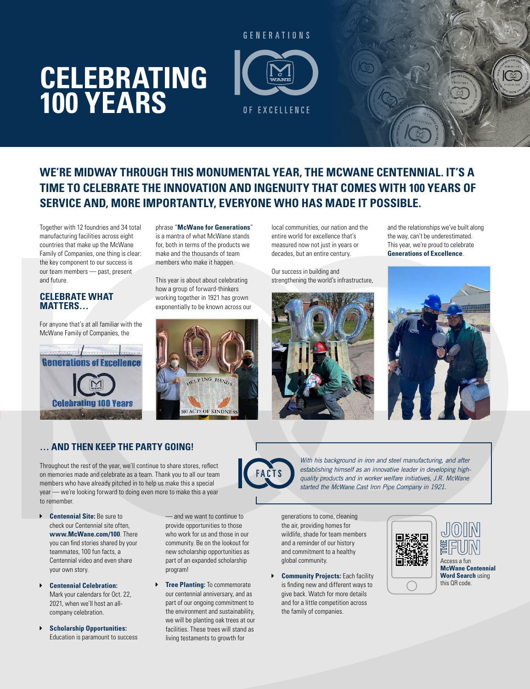# **CELEBRATING 100 YEARS**



### **WE'RE MIDWAY THROUGH THIS MONUMENTAL YEAR, THE MCWANE CENTENNIAL. IT'S A TIME TO CELEBRATE THE INNOVATION AND INGENUITY THAT COMES WITH 100 YEARS OF SERVICE AND, MORE IMPORTANTLY, EVERYONE WHO HAS MADE IT POSSIBLE.**

Together with 12 foundries and 34 total manufacturing facilities across eight countries that make up the McWane Family of Companies, one thing is clear: the key component to our success is our team members — past, present and future.

### **CELEBRATE WHAT MATTERS…**

For anyone that's at all familiar with the McWane Family of Companies, the



phrase "**McWane for Generations**" is a mantra of what McWane stands for, both in terms of the products we make and the thousands of team members who make it happen.

This year is about about celebrating how a group of forward-thinkers working together in 1921 has grown exponentially to be known across our



local communities, our nation and the entire world for excellence that's measured now not just in years or decades, but an entire century.

Our success in building and strengthening the world's infrastructure,



and the relationships we've built along the way, can't be underestimated. This year, we're proud to celebrate **Generations of Excellence**.



### **… AND THEN KEEP THE PARTY GOING!**

Throughout the rest of the year, we'll continue to share stores, reflect on memories made and celebrate as a team. Thank you to all our team members who have already pitched in to help us make this a special year — we're looking forward to doing even more to make this a year to remember.

- **Centennial Site:** Be sure to check our Centennial site often, **www.McWane.com/100**. There you can find stories shared by your teammates, 100 fun facts, a Centennial video and even share your own story.
- $\triangleright$  **Centennial Celebration:** Mark your calendars for Oct. 22, 2021, when we'll host an allcompany celebration.
- **Example 3 Scholarship Opportunities:** Education is paramount to success

— and we want to continue to provide opportunities to those who work for us and those in our community. Be on the lookout for new scholarship opportunities as part of an expanded scholarship program!

**Figure Planting:** To commemorate our centennial anniversary, and as part of our ongoing commitment to the environment and sustainability, we will be planting oak trees at our facilities. These trees will stand as living testaments to growth for

generations to come, cleaning *started the McWane Cast Iron Pipe Company in 1921.*

the air, providing homes for wildlife, shade for team members and a reminder of our history and commitment to a healthy global community.

**Example 1 Community Projects:** Each facility is finding new and different ways to give back. Watch for more details and for a little competition across the family of companies.



*With his background in iron and steel manufacturing, and after establishing himself as an innovative leader in developing highquality products and in worker welfare initiatives, J.R. McWane*